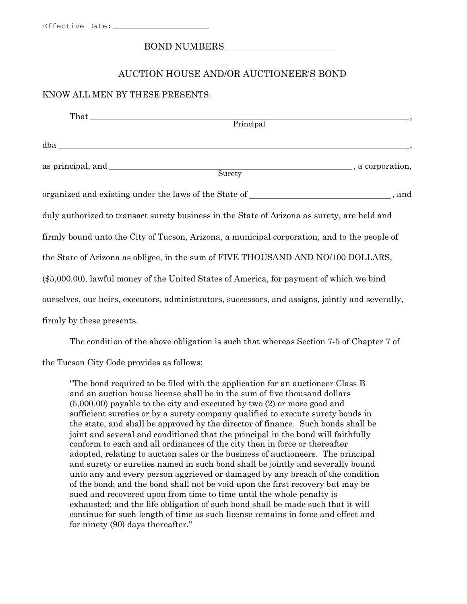## BOND NUMBERS

## AUCTION HOUSE AND/OR AUCTIONEER'S BOND

#### KNOW ALL MEN BY THESE PRESENTS:

| $That$ and $f(x)$ is the set of $f(x)$ is the set of $f(x)$ is the set of $f(x)$ is the set of $f(x)$ is the set of $f(x)$ is the set of $f(x)$ is the set of $f(x)$ is the set of $f(x)$ is the set of $f(x)$ is the set of $f(x)$ is the<br>Principal |  |  |
|---------------------------------------------------------------------------------------------------------------------------------------------------------------------------------------------------------------------------------------------------------|--|--|
|                                                                                                                                                                                                                                                         |  |  |
| a corporation,<br>Surety                                                                                                                                                                                                                                |  |  |
| organized and existing under the laws of the State of ___________________________, and                                                                                                                                                                  |  |  |
| duly authorized to transact surety business in the State of Arizona as surety, are held and                                                                                                                                                             |  |  |
| firmly bound unto the City of Tucson, Arizona, a municipal corporation, and to the people of                                                                                                                                                            |  |  |
| the State of Arizona as obligee, in the sum of FIVE THOUSAND AND NO/100 DOLLARS,                                                                                                                                                                        |  |  |
| (\$5,000.00), lawful money of the United States of America, for payment of which we bind                                                                                                                                                                |  |  |
| ourselves, our heirs, executors, administrators, successors, and assigns, jointly and severally,                                                                                                                                                        |  |  |
| firmly by these presents.                                                                                                                                                                                                                               |  |  |

The condition of the above obligation is such that whereas Section 7-5 of Chapter 7 of

the Tucson City Code provides as follows:

"The bond required to be filed with the application for an auctioneer Class B and an auction house license shall be in the sum of five thousand dollars (5,000.00) payable to the city and executed by two (2) or more good and sufficient sureties or by a surety company qualified to execute surety bonds in the state, and shall be approved by the director of finance. Such bonds shall be joint and several and conditioned that the principal in the bond will faithfully conform to each and all ordinances of the city then in force or thereafter adopted, relating to auction sales or the business of auctioneers. The principal and surety or sureties named in such bond shall be jointly and severally bound unto any and every person aggrieved or damaged by any breach of the condition of the bond; and the bond shall not be void upon the first recovery but may be sued and recovered upon from time to time until the whole penalty is exhausted; and the life obligation of such bond shall be made such that it will continue for such length of time as such license remains in force and effect and for ninety (90) days thereafter."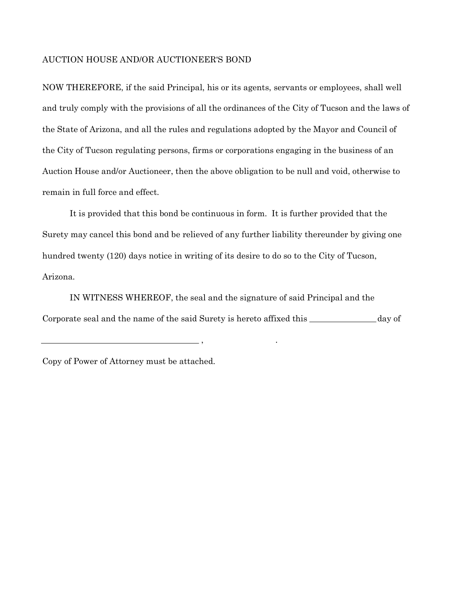### AUCTION HOUSE AND/OR AUCTIONEER'S BOND

NOW THEREFORE, if the said Principal, his or its agents, servants or employees, shall well and truly comply with the provisions of all the ordinances of the City of Tucson and the laws of the State of Arizona, and all the rules and regulations adopted by the Mayor and Council of the City of Tucson regulating persons, firms or corporations engaging in the business of an Auction House and/or Auctioneer, then the above obligation to be null and void, otherwise to remain in full force and effect.

It is provided that this bond be continuous in form. It is further provided that the Surety may cancel this bond and be relieved of any further liability thereunder by giving one hundred twenty (120) days notice in writing of its desire to do so to the City of Tucson, Arizona.

IN WITNESS WHEREOF, the seal and the signature of said Principal and the Corporate seal and the name of the said Surety is hereto affixed this \_\_\_\_\_\_\_\_\_\_\_\_\_ day of

, where  $\mathbf{r}$ 

Copy of Power of Attorney must be attached.